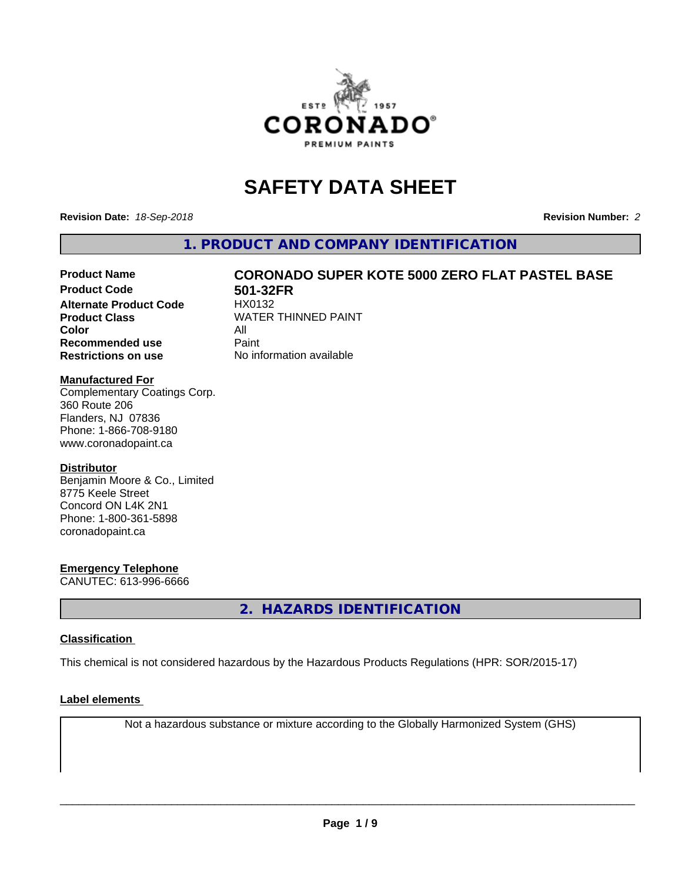

# **SAFETY DATA SHEET**

**Revision Date:** *18-Sep-2018* **Revision Number:** *2*

**1. PRODUCT AND COMPANY IDENTIFICATION**

# Product Name **CORONADO SUPER KOTE 5000 ZERO FLAT PASTEL BASE**<br>Product Code **Reading State 1225** FR

**Alternate Product Code Color** All<br> **Recommended use** Paint **Recommended use Restrictions on use** No information available

**501-32FR**<br>HX0132 **Product Class WATER THINNED PAINT** 

#### **Manufactured For**

Complementary Coatings Corp. 360 Route 206 Flanders, NJ 07836 Phone: 1-866-708-9180 www.coronadopaint.ca

#### **Distributor**

Benjamin Moore & Co., Limited 8775 Keele Street Concord ON L4K 2N1 Phone: 1-800-361-5898 coronadopaint.ca

#### **Emergency Telephone**

CANUTEC: 613-996-6666

**2. HAZARDS IDENTIFICATION**

#### **Classification**

This chemical is not considered hazardous by the Hazardous Products Regulations (HPR: SOR/2015-17)

#### **Label elements**

Not a hazardous substance or mixture according to the Globally Harmonized System (GHS)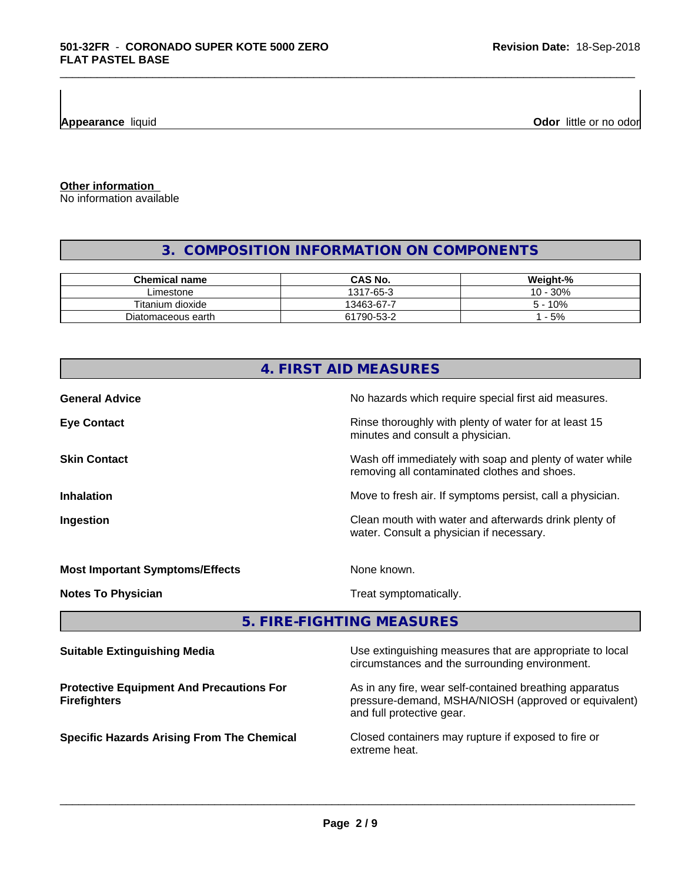**Appearance** liquid **Odor 11 Odor 11 Odor 11 Odor 11 Odor 11 Odor 11 Odor 11 Odor 11 Odor 11 Odor 11 Odor 11 Odor 11 Odor 11 Odor 11 Odor 11 Odor 11 Odor 11 Odor 11**

**Other information**

No information available

# **3. COMPOSITION INFORMATION ON COMPONENTS**

\_\_\_\_\_\_\_\_\_\_\_\_\_\_\_\_\_\_\_\_\_\_\_\_\_\_\_\_\_\_\_\_\_\_\_\_\_\_\_\_\_\_\_\_\_\_\_\_\_\_\_\_\_\_\_\_\_\_\_\_\_\_\_\_\_\_\_\_\_\_\_\_\_\_\_\_\_\_\_\_\_\_\_\_\_\_\_\_\_\_\_\_\_

| <b>Chemical name</b> | CAS No.    | Weight-%               |
|----------------------|------------|------------------------|
| ∟imestone            | 1317-65-3  | .30%<br>$10 -$         |
| Titanium dioxide     | 13463-67-7 | 10%<br>$\mathcal{D}$ – |
| Diatomaceous earth   | 61790-53-2 | $-5%$                  |

|                                                                        | 4. FIRST AID MEASURES                                                                                           |
|------------------------------------------------------------------------|-----------------------------------------------------------------------------------------------------------------|
| <b>General Advice</b>                                                  | No hazards which require special first aid measures.                                                            |
| <b>Eye Contact</b>                                                     | Rinse thoroughly with plenty of water for at least 15<br>minutes and consult a physician.                       |
| <b>Skin Contact</b>                                                    | Wash off immediately with soap and plenty of water while<br>removing all contaminated clothes and shoes.        |
| <b>Inhalation</b>                                                      | Move to fresh air. If symptoms persist, call a physician.                                                       |
| Ingestion                                                              | Clean mouth with water and afterwards drink plenty of<br>water. Consult a physician if necessary.               |
| <b>Most Important Symptoms/Effects</b>                                 | None known.                                                                                                     |
| <b>Notes To Physician</b>                                              | Treat symptomatically.                                                                                          |
|                                                                        | 5. FIRE-FIGHTING MEASURES                                                                                       |
| <b>Suitable Extinguishing Media</b>                                    | Use extinguishing measures that are appropriate to local<br>circumstances and the surrounding environment.      |
| <b>Protective Equipment And Precautions For</b><br><b>Firefighters</b> | As in any fire, wear self-contained breathing apparatus<br>pressure-demand, MSHA/NIOSH (approved or equivalent) |

pressure-demand, MSHA/NIOSH (approved or equivalent) and full protective gear.

**Specific Hazards Arising From The Chemical Closed containers may rupture if exposed to fire or** extreme heat.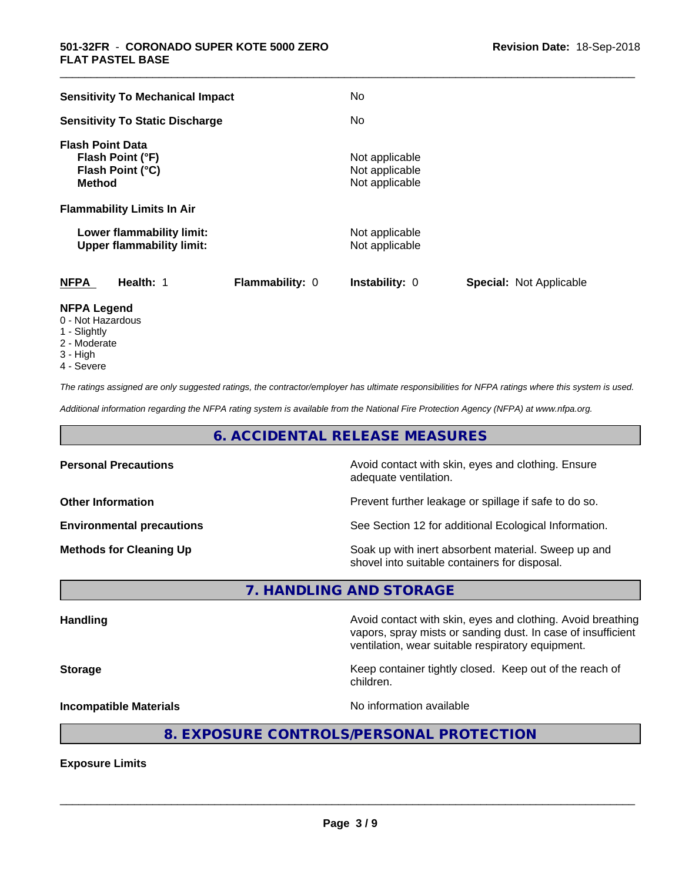| <b>Sensitivity To Mechanical Impact</b>                                          |                        | No                                                 |                                |
|----------------------------------------------------------------------------------|------------------------|----------------------------------------------------|--------------------------------|
| <b>Sensitivity To Static Discharge</b>                                           |                        | No                                                 |                                |
| <b>Flash Point Data</b><br>Flash Point (°F)<br>Flash Point (°C)<br><b>Method</b> |                        | Not applicable<br>Not applicable<br>Not applicable |                                |
| <b>Flammability Limits In Air</b>                                                |                        |                                                    |                                |
| Lower flammability limit:<br><b>Upper flammability limit:</b>                    |                        | Not applicable<br>Not applicable                   |                                |
| <b>NFPA</b><br>Health: 1                                                         | <b>Flammability: 0</b> | <b>Instability: 0</b>                              | <b>Special: Not Applicable</b> |
| <b>NFPA Legend</b>                                                               |                        |                                                    |                                |

\_\_\_\_\_\_\_\_\_\_\_\_\_\_\_\_\_\_\_\_\_\_\_\_\_\_\_\_\_\_\_\_\_\_\_\_\_\_\_\_\_\_\_\_\_\_\_\_\_\_\_\_\_\_\_\_\_\_\_\_\_\_\_\_\_\_\_\_\_\_\_\_\_\_\_\_\_\_\_\_\_\_\_\_\_\_\_\_\_\_\_\_\_

- 0 Not Hazardous
- 1 Slightly
- 2 Moderate
- 3 High
- 4 Severe

*The ratings assigned are only suggested ratings, the contractor/employer has ultimate responsibilities for NFPA ratings where this system is used.*

*Additional information regarding the NFPA rating system is available from the National Fire Protection Agency (NFPA) at www.nfpa.org.*

# **6. ACCIDENTAL RELEASE MEASURES**

| <b>Personal Precautions</b>      | Avoid contact with skin, eyes and clothing. Ensure<br>adequate ventilation.                          |
|----------------------------------|------------------------------------------------------------------------------------------------------|
| <b>Other Information</b>         | Prevent further leakage or spillage if safe to do so.                                                |
| <b>Environmental precautions</b> | See Section 12 for additional Ecological Information.                                                |
| <b>Methods for Cleaning Up</b>   | Soak up with inert absorbent material. Sweep up and<br>shovel into suitable containers for disposal. |

**7. HANDLING AND STORAGE**

Handling **Handling Avoid contact with skin, eyes and clothing. Avoid breathing Handling** vapors, spray mists or sanding dust. In case of insufficient ventilation, wear suitable respiratory equipment. **Storage Keep container tightly closed. Keep out of the reach of the reach of the reach of the reach of the reach of the reach of the reach of the reach of the reach of the reach of the reach of the reach of the reach of** children. **Incompatible Materials Incompatible Materials No information available** 

# **8. EXPOSURE CONTROLS/PERSONAL PROTECTION**

**Exposure Limits**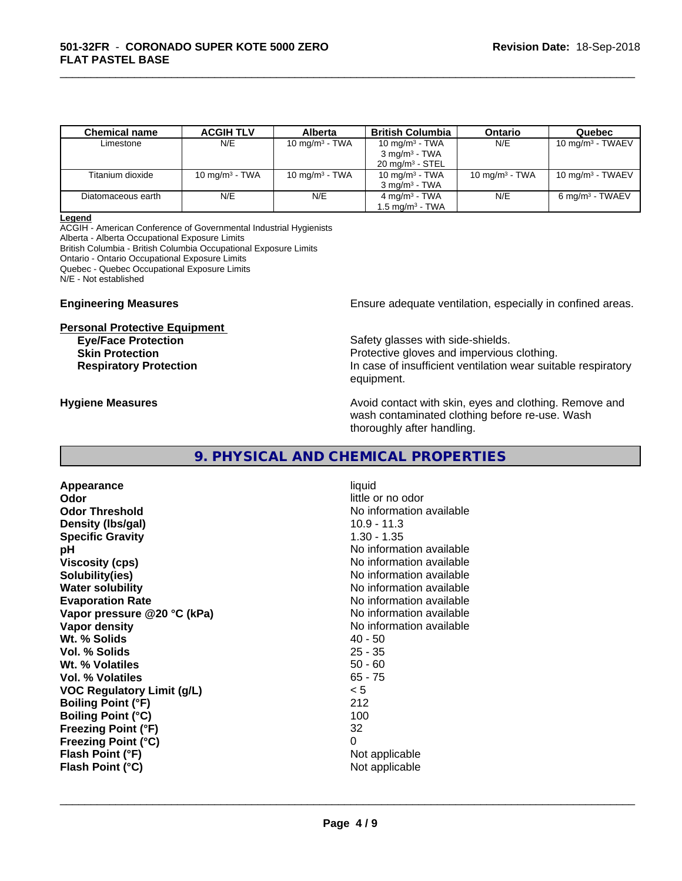| <b>Chemical name</b> | <b>ACGIH TLV</b>  | <b>Alberta</b>    | <b>British Columbia</b>     | Ontario           | Quebec                       |
|----------------------|-------------------|-------------------|-----------------------------|-------------------|------------------------------|
| Limestone            | N/E               | 10 mg/m $3$ - TWA | 10 mg/m $3$ - TWA           | N/E               | 10 mg/m <sup>3</sup> - TWAEV |
|                      |                   |                   | $3 \text{ mg/m}^3$ - TWA    |                   |                              |
|                      |                   |                   | $20 \text{ mg/m}^3$ - STEL  |                   |                              |
| Titanium dioxide     | 10 mg/m $3$ - TWA | 10 mg/m $3$ - TWA | 10 mg/m $3$ - TWA           | 10 mg/m $3$ - TWA | 10 mg/m $3$ - TWAEV          |
|                      |                   |                   | $3 \text{ ma/m}^3$ - TWA    |                   |                              |
| Diatomaceous earth   | N/E               | N/E               | $4 \text{ mg/m}^3$ - TWA    | N/E               | 6 mg/m <sup>3</sup> - TWAEV  |
|                      |                   |                   | 1.5 mg/m <sup>3</sup> - TWA |                   |                              |

\_\_\_\_\_\_\_\_\_\_\_\_\_\_\_\_\_\_\_\_\_\_\_\_\_\_\_\_\_\_\_\_\_\_\_\_\_\_\_\_\_\_\_\_\_\_\_\_\_\_\_\_\_\_\_\_\_\_\_\_\_\_\_\_\_\_\_\_\_\_\_\_\_\_\_\_\_\_\_\_\_\_\_\_\_\_\_\_\_\_\_\_\_

#### **Legend**

ACGIH - American Conference of Governmental Industrial Hygienists Alberta - Alberta Occupational Exposure Limits British Columbia - British Columbia Occupational Exposure Limits Ontario - Ontario Occupational Exposure Limits Quebec - Quebec Occupational Exposure Limits N/E - Not established

#### **Personal Protective Equipment**

**Engineering Measures Ensure adequate ventilation, especially in confined areas.** 

**Eye/Face Protection Safety glasses with side-shields. Skin Protection Protection** Protective gloves and impervious clothing. **Respiratory Protection In case of insufficient ventilation wear suitable respiratory** equipment.

**Hygiene Measures Avoid contact with skin, eyes and clothing. Remove and Hygiene Measures** and clothing. Remove and wash contaminated clothing before re-use. Wash thoroughly after handling.

# **9. PHYSICAL AND CHEMICAL PROPERTIES**

**Appearance** liquid **Odor** little or no odor **Odor Threshold**<br> **Odor Threshold**<br> **No information available**<br>
10.9 - 11.3 **Density (Ibs/gal) Specific Gravity** 1.30 - 1.35 **pH** No information available **Viscosity (cps)** No information available **Solubility(ies)** No information available in the solution of the solution of the solution available in the solution of the solution of the solution of the solution of the solution of the solution of the solution of the so **Water solubility Water solubility Water solubility Water solubility Water solution Evaporation Rate Evaporation Rate No information available Vapor pressure @20 °C (kPa)** No information available **Vapor density**<br> **We Solids**<br>
We Solids
2019<br>
2019<br>
2019<br>
2019<br>
2019<br>
2019<br>
2019<br>
2019<br>
2019<br>
2019 Wt. % Solids **Vol. % Solids** 25 - 35 **Wt. % Volatiles** 50 - 60<br> **Vol. % Volatiles** 65 - 75 **Vol. % Volatiles VOC Regulatory Limit (g/L)** < 5 **Boiling Point (°F)** 212 **Boiling Point (°C) Freezing Point (°F)** 32 **Freezing Point (°C)** 0 **Flash Point (°F) Flash Point (°C)** Not applicable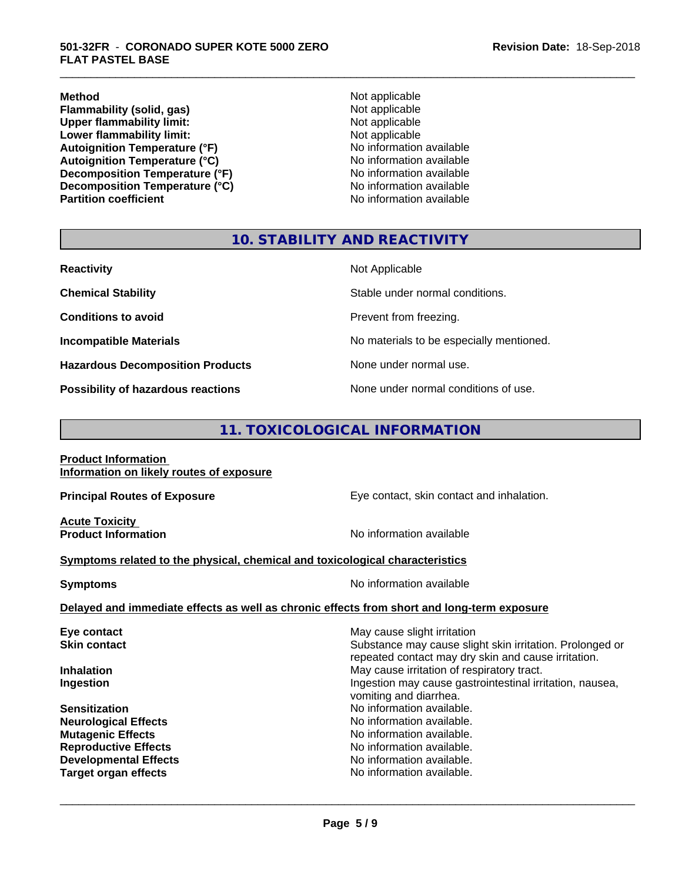**Method** Not applicable **Flammability (solid, gas)** Not applicable<br>
Upper flammability limit:<br>
Not applicable **Upper flammability limit:**<br> **Lower flammability limit:**<br>
Not applicable<br>
Not applicable **Lower flammability limit:**<br> **Autoignition Temperature (°F)**<br>
Mo information available Autoignition Temperature (°F)<br>
Autoignition Temperature (°C)<br>
No information available **Autoignition Temperature (°C) Decomposition Temperature (°F)** No information available<br> **Decomposition Temperature (°C)** No information available **Decomposition Temperature (°C)**<br>Partition coefficient

**No information available** 

\_\_\_\_\_\_\_\_\_\_\_\_\_\_\_\_\_\_\_\_\_\_\_\_\_\_\_\_\_\_\_\_\_\_\_\_\_\_\_\_\_\_\_\_\_\_\_\_\_\_\_\_\_\_\_\_\_\_\_\_\_\_\_\_\_\_\_\_\_\_\_\_\_\_\_\_\_\_\_\_\_\_\_\_\_\_\_\_\_\_\_\_\_

### **10. STABILITY AND REACTIVITY**

| <b>Reactivity</b>                         | Not Applicable                           |
|-------------------------------------------|------------------------------------------|
| <b>Chemical Stability</b>                 | Stable under normal conditions.          |
| <b>Conditions to avoid</b>                | Prevent from freezing.                   |
| <b>Incompatible Materials</b>             | No materials to be especially mentioned. |
| <b>Hazardous Decomposition Products</b>   | None under normal use.                   |
| <b>Possibility of hazardous reactions</b> | None under normal conditions of use.     |

# **11. TOXICOLOGICAL INFORMATION**

| <b>Product Information</b> |                                          |  |
|----------------------------|------------------------------------------|--|
|                            | Information on likely routes of exposure |  |

**Acute Toxicity** 

**Principal Routes of Exposure Exposure** Eye contact, skin contact and inhalation.

**Product Information Information Information No information available** 

 $\overline{\phantom{a}}$  ,  $\overline{\phantom{a}}$  ,  $\overline{\phantom{a}}$  ,  $\overline{\phantom{a}}$  ,  $\overline{\phantom{a}}$  ,  $\overline{\phantom{a}}$  ,  $\overline{\phantom{a}}$  ,  $\overline{\phantom{a}}$  ,  $\overline{\phantom{a}}$  ,  $\overline{\phantom{a}}$  ,  $\overline{\phantom{a}}$  ,  $\overline{\phantom{a}}$  ,  $\overline{\phantom{a}}$  ,  $\overline{\phantom{a}}$  ,  $\overline{\phantom{a}}$  ,  $\overline{\phantom{a}}$ 

#### **Symptoms related to the physical,chemical and toxicological characteristics**

| <b>Symptoms</b>                                                                            | No information available |
|--------------------------------------------------------------------------------------------|--------------------------|
| Delayed and immediate effects as well as chronic effects from short and long-term exposure |                          |

| Eye contact                  | May cause slight irritation                                                                                     |
|------------------------------|-----------------------------------------------------------------------------------------------------------------|
| <b>Skin contact</b>          | Substance may cause slight skin irritation. Prolonged or<br>repeated contact may dry skin and cause irritation. |
| <b>Inhalation</b>            | May cause irritation of respiratory tract.                                                                      |
| Ingestion                    | Ingestion may cause gastrointestinal irritation, nausea,<br>vomiting and diarrhea.                              |
| <b>Sensitization</b>         | No information available.                                                                                       |
| <b>Neurological Effects</b>  | No information available.                                                                                       |
| <b>Mutagenic Effects</b>     | No information available.                                                                                       |
| <b>Reproductive Effects</b>  | No information available.                                                                                       |
| <b>Developmental Effects</b> | No information available.                                                                                       |
| <b>Target organ effects</b>  | No information available.                                                                                       |
|                              |                                                                                                                 |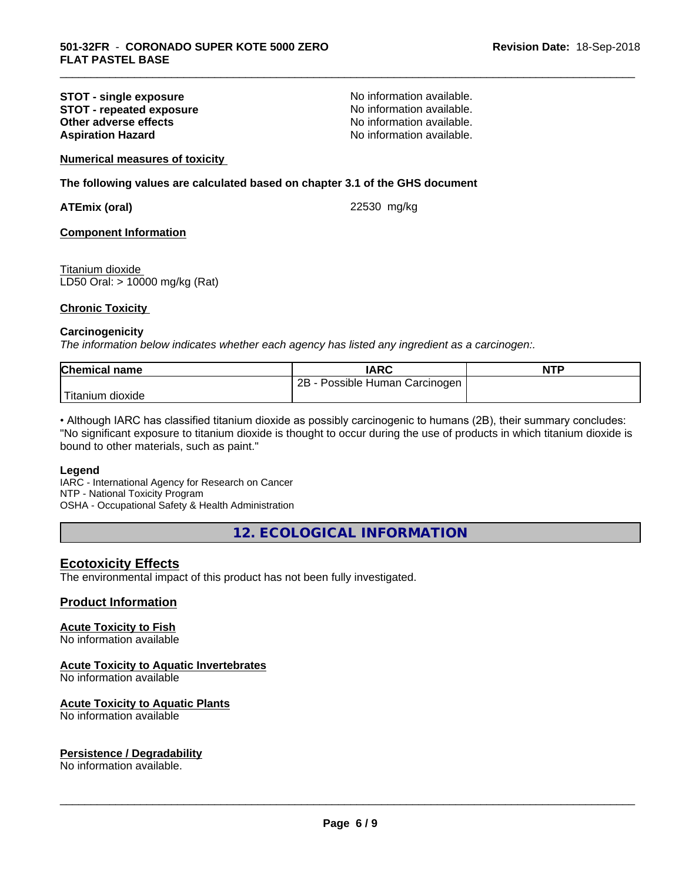#### **STOT - single exposure**<br> **STOT - repeated exposure**<br> **STOT - repeated exposure**<br> **No information available. STOT - repeated exposure and intervalse in the STOT - repeated exposure notation no No** information available. **Other adverse effects Aspiration Hazard Aspiration Hazard No information available.**

\_\_\_\_\_\_\_\_\_\_\_\_\_\_\_\_\_\_\_\_\_\_\_\_\_\_\_\_\_\_\_\_\_\_\_\_\_\_\_\_\_\_\_\_\_\_\_\_\_\_\_\_\_\_\_\_\_\_\_\_\_\_\_\_\_\_\_\_\_\_\_\_\_\_\_\_\_\_\_\_\_\_\_\_\_\_\_\_\_\_\_\_\_

#### **Numerical measures of toxicity**

#### **The following values are calculated based on chapter 3.1 of the GHS document**

**ATEmix (oral)** 22530 mg/kg

#### **Component Information**

Titanium dioxide LD50 Oral: > 10000 mg/kg (Rat)

#### **Chronic Toxicity**

#### **Carcinogenicity**

*The information below indicateswhether each agency has listed any ingredient as a carcinogen:.*

| <b>Chemical</b><br>name | IARC                                   | <b>NTP</b> |
|-------------------------|----------------------------------------|------------|
|                         | 2B<br>Carcinogen<br>Human<br>ossible ' |            |
| Titanium<br>dioxide     |                                        |            |

• Although IARC has classified titanium dioxide as possibly carcinogenic to humans (2B), their summary concludes: "No significant exposure to titanium dioxide is thought to occur during the use of products in which titanium dioxide is bound to other materials, such as paint."

#### **Legend**

IARC - International Agency for Research on Cancer NTP - National Toxicity Program OSHA - Occupational Safety & Health Administration

**12. ECOLOGICAL INFORMATION**

#### **Ecotoxicity Effects**

The environmental impact of this product has not been fully investigated.

#### **Product Information**

#### **Acute Toxicity to Fish**

No information available

#### **Acute Toxicity to Aquatic Invertebrates**

No information available

#### **Acute Toxicity to Aquatic Plants**

No information available

#### **Persistence / Degradability**

No information available.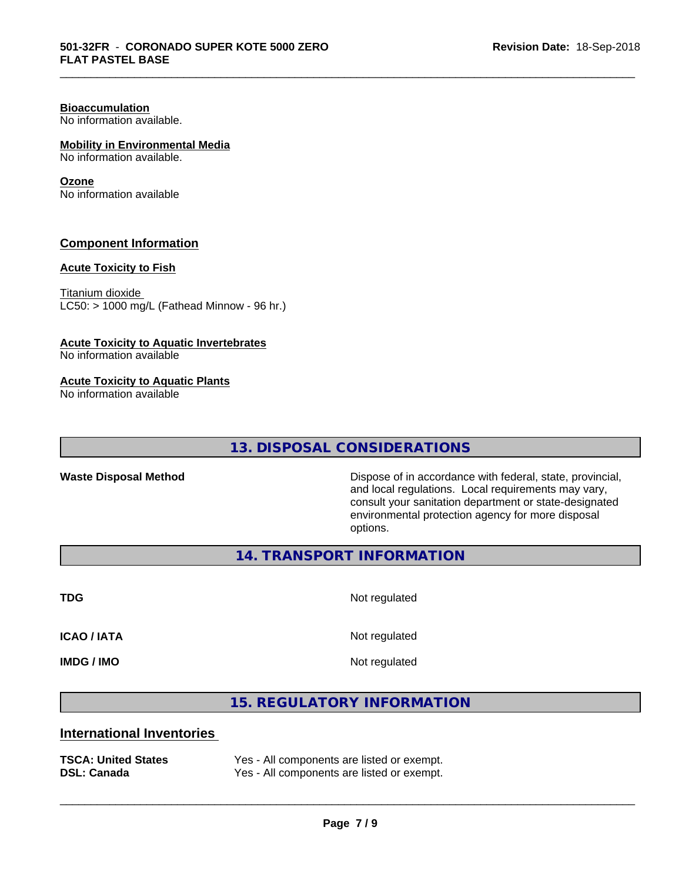# **Bioaccumulation**

No information available.

### **Mobility in Environmental Media**

No information available.

#### **Ozone**

No information available

#### **Component Information**

#### **Acute Toxicity to Fish**

Titanium dioxide  $LC50:$  > 1000 mg/L (Fathead Minnow - 96 hr.)

#### **Acute Toxicity to Aquatic Invertebrates**

No information available

#### **Acute Toxicity to Aquatic Plants**

No information available

# **13. DISPOSAL CONSIDERATIONS**

Waste Disposal Method **Dispose of in accordance with federal, state, provincial,** and local regulations. Local requirements may vary, consult your sanitation department or state-designated environmental protection agency for more disposal options.

**14. TRANSPORT INFORMATION**

**TDG** Not regulated

\_\_\_\_\_\_\_\_\_\_\_\_\_\_\_\_\_\_\_\_\_\_\_\_\_\_\_\_\_\_\_\_\_\_\_\_\_\_\_\_\_\_\_\_\_\_\_\_\_\_\_\_\_\_\_\_\_\_\_\_\_\_\_\_\_\_\_\_\_\_\_\_\_\_\_\_\_\_\_\_\_\_\_\_\_\_\_\_\_\_\_\_\_

**ICAO / IATA** Not regulated

**IMDG / IMO** Not regulated

 $\overline{\phantom{a}}$  ,  $\overline{\phantom{a}}$  ,  $\overline{\phantom{a}}$  ,  $\overline{\phantom{a}}$  ,  $\overline{\phantom{a}}$  ,  $\overline{\phantom{a}}$  ,  $\overline{\phantom{a}}$  ,  $\overline{\phantom{a}}$  ,  $\overline{\phantom{a}}$  ,  $\overline{\phantom{a}}$  ,  $\overline{\phantom{a}}$  ,  $\overline{\phantom{a}}$  ,  $\overline{\phantom{a}}$  ,  $\overline{\phantom{a}}$  ,  $\overline{\phantom{a}}$  ,  $\overline{\phantom{a}}$ 

**15. REGULATORY INFORMATION**

### **International Inventories**

| <b>TSCA: United States</b> | Yes · |
|----------------------------|-------|
| <b>DSL: Canada</b>         | Yes · |

- All components are listed or exempt. - All components are listed or exempt.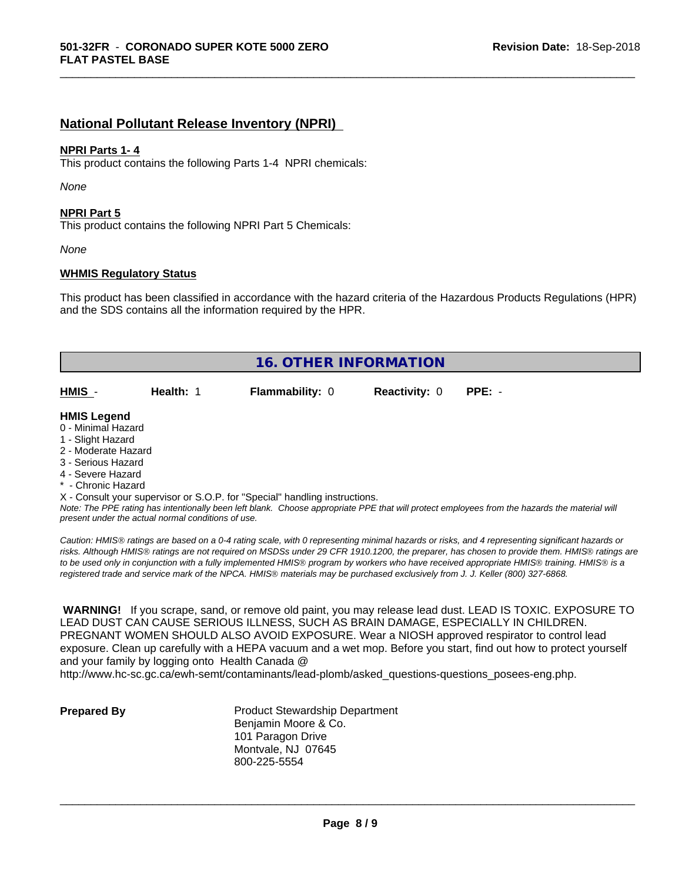# **National Pollutant Release Inventory (NPRI)**

#### **NPRI Parts 1- 4**

This product contains the following Parts 1-4 NPRI chemicals:

*None*

#### **NPRI Part 5**

This product contains the following NPRI Part 5 Chemicals:

*None*

#### **WHMIS Regulatory Status**

This product has been classified in accordance with the hazard criteria of the Hazardous Products Regulations (HPR) and the SDS contains all the information required by the HPR.

\_\_\_\_\_\_\_\_\_\_\_\_\_\_\_\_\_\_\_\_\_\_\_\_\_\_\_\_\_\_\_\_\_\_\_\_\_\_\_\_\_\_\_\_\_\_\_\_\_\_\_\_\_\_\_\_\_\_\_\_\_\_\_\_\_\_\_\_\_\_\_\_\_\_\_\_\_\_\_\_\_\_\_\_\_\_\_\_\_\_\_\_\_

| <b>16. OTHER INFORMATION</b> |           |                                                                            |                      |          |  |
|------------------------------|-----------|----------------------------------------------------------------------------|----------------------|----------|--|
|                              |           |                                                                            |                      |          |  |
| HMIS -                       | Health: 1 | <b>Flammability: 0</b>                                                     | <b>Reactivity: 0</b> | $PPE: -$ |  |
|                              |           |                                                                            |                      |          |  |
| <b>HMIS Legend</b>           |           |                                                                            |                      |          |  |
| 0 - Minimal Hazard           |           |                                                                            |                      |          |  |
| 1 - Slight Hazard            |           |                                                                            |                      |          |  |
| 2 - Moderate Hazard          |           |                                                                            |                      |          |  |
| 3 - Serious Hazard           |           |                                                                            |                      |          |  |
| 4 - Severe Hazard            |           |                                                                            |                      |          |  |
| * - Chronic Hazard           |           |                                                                            |                      |          |  |
|                              |           | X - Consult your supervisor or S.O.P. for "Special" handling instructions. |                      |          |  |

*Note: The PPE rating has intentionally been left blank. Choose appropriate PPE that will protect employees from the hazards the material will present under the actual normal conditions of use.*

*Caution: HMISÒ ratings are based on a 0-4 rating scale, with 0 representing minimal hazards or risks, and 4 representing significant hazards or risks. Although HMISÒ ratings are not required on MSDSs under 29 CFR 1910.1200, the preparer, has chosen to provide them. HMISÒ ratings are to be used only in conjunction with a fully implemented HMISÒ program by workers who have received appropriate HMISÒ training. HMISÒ is a registered trade and service mark of the NPCA. HMISÒ materials may be purchased exclusively from J. J. Keller (800) 327-6868.*

 **WARNING!** If you scrape, sand, or remove old paint, you may release lead dust. LEAD IS TOXIC. EXPOSURE TO LEAD DUST CAN CAUSE SERIOUS ILLNESS, SUCH AS BRAIN DAMAGE, ESPECIALLY IN CHILDREN. PREGNANT WOMEN SHOULD ALSO AVOID EXPOSURE.Wear a NIOSH approved respirator to control lead exposure. Clean up carefully with a HEPA vacuum and a wet mop. Before you start, find out how to protect yourself and your family by logging onto Health Canada @

http://www.hc-sc.gc.ca/ewh-semt/contaminants/lead-plomb/asked\_questions-questions\_posees-eng.php.

**Prepared By** Product Stewardship Department Benjamin Moore & Co. 101 Paragon Drive Montvale, NJ 07645 800-225-5554